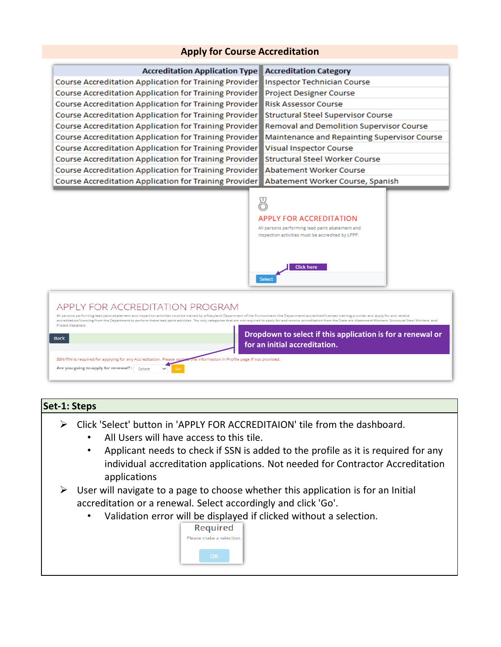# **Apply for Course Accreditation**



## **Set-1: Steps**

- Click 'Select' button in 'APPLY FOR ACCREDITAION' tile from the dashboard.
	- All Users will have access to this tile.
	- Applicant needs to check if SSN is added to the profile as it is required for any individual accreditation applications. Not needed for Contractor Accreditation applications
- $\triangleright$  User will navigate to a page to choose whether this application is for an Initial accreditation or a renewal. Select accordingly and click 'Go'.
	- Validation error will be displayed if clicked without a selection.

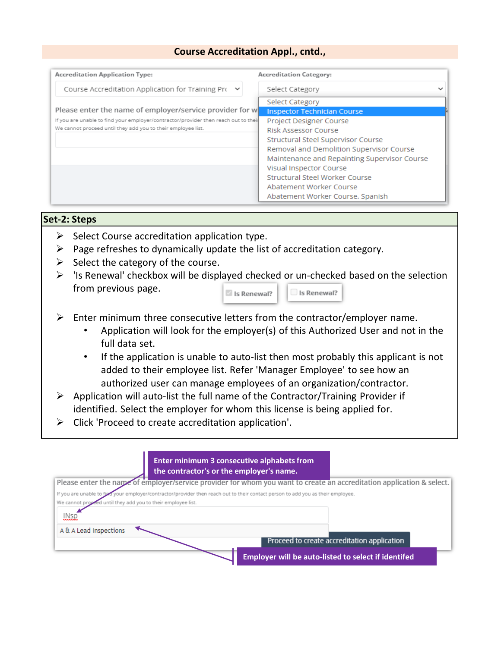# **Course Accreditation Appl., cntd.,**

| <b>Accreditation Application Type:</b>                                              | <b>Accreditation Category:</b>               |
|-------------------------------------------------------------------------------------|----------------------------------------------|
| Course Accreditation Application for Training Pro $\vee$                            | Select Category<br>∼                         |
|                                                                                     | Select Category                              |
| Please enter the name of employer/service provider for w                            | <b>Inspector Technician Course</b>           |
| If you are unable to find your employer/contractor/provider then reach out to their | Project Designer Course                      |
| We cannot proceed until they add you to their employee list.                        | Risk Assessor Course                         |
|                                                                                     | Structural Steel Supervisor Course           |
|                                                                                     | Removal and Demolition Supervisor Course     |
|                                                                                     | Maintenance and Repainting Supervisor Course |
|                                                                                     | Visual Inspector Course                      |
|                                                                                     | Structural Steel Worker Course               |
|                                                                                     | Abatement Worker Course                      |
|                                                                                     | Abatement Worker Course, Spanish             |

## **Set-2: Steps**

- $\triangleright$  Select Course accreditation application type.
- $\triangleright$  Page refreshes to dynamically update the list of accreditation category.
- $\triangleright$  Select the category of the course.
- $\triangleright$  'Is Renewal' checkbox will be displayed checked or un-checked based on the selection from previous page. Is Renewal? Is Renewal?

| $\triangleright$ Enter minimum three consecutive letters from the contractor/employer name. |  |
|---------------------------------------------------------------------------------------------|--|

- Application will look for the employer(s) of this Authorized User and not in the full data set.
- If the application is unable to auto-list then most probably this applicant is not added to their employee list. Refer 'Manager Employee' to see how an authorized user can manage employees of an organization/contractor.
- $\triangleright$  Application will auto-list the full name of the Contractor/Training Provider if identified. Select the employer for whom this license is being applied for.
- $\triangleright$  Click 'Proceed to create accreditation application'.

| Enter minimum 3 consecutive alphabets from<br>the contractor's or the employer's name.                                            |
|-----------------------------------------------------------------------------------------------------------------------------------|
| Please enter the name of employer/service provider for whom you want to create an accreditation application & select.             |
| If you are unable to figal your employer/contractor/provider then reach out to their contact person to add you as their employee. |
| We cannot proceed until they add you to their employee list.                                                                      |
| <b>INsp</b>                                                                                                                       |
| A & A Lead Inspections                                                                                                            |
| Proceed to create accreditation application                                                                                       |
| <b>Employer will be auto-listed to select if identifed</b>                                                                        |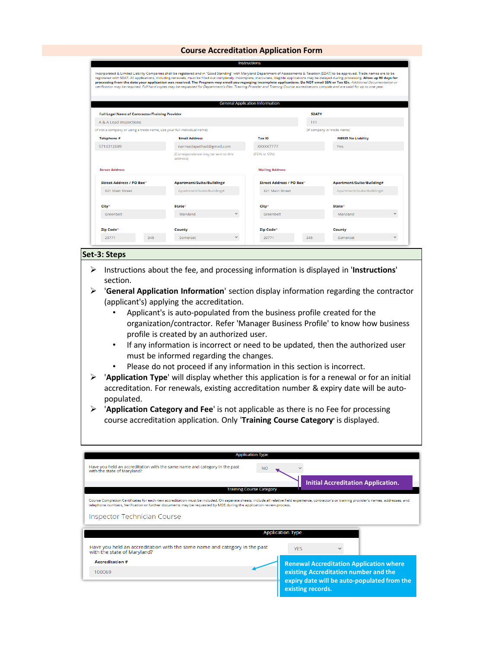### **Course Accreditation Application Form**

|                                                        | verification may be required. Full hard copies may be requested for Department's files. Training Provider and Training Course accreditations coincide and are valid for up to one year. |                                        |                          |                            |                           |              |
|--------------------------------------------------------|-----------------------------------------------------------------------------------------------------------------------------------------------------------------------------------------|----------------------------------------|--------------------------|----------------------------|---------------------------|--------------|
|                                                        |                                                                                                                                                                                         |                                        |                          |                            |                           |              |
|                                                        |                                                                                                                                                                                         | <b>General Application Information</b> |                          |                            |                           |              |
| <b>Full Legal Name of Contractor/Training Provider</b> |                                                                                                                                                                                         |                                        |                          | SDAT#                      |                           |              |
| A & A Lead Inspections                                 |                                                                                                                                                                                         |                                        |                          | 111                        |                           |              |
|                                                        | (if not a company or using a trade name, use your full individual name)                                                                                                                 |                                        |                          | (if company or trade name) |                           |              |
| Telephone #                                            | <b>Email Address</b>                                                                                                                                                                    |                                        | <b>Tax ID</b>            |                            | <b>HB935 No Liability</b> |              |
| 5714312689                                             | narmadapatha4@gmail.com                                                                                                                                                                 |                                        | XXXXX7777                |                            | Yes.                      |              |
|                                                        | (Correspondence may be sent to this<br>address)                                                                                                                                         |                                        | (FEIN or SSN)            |                            |                           |              |
| <b>Street Address</b>                                  |                                                                                                                                                                                         |                                        | <b>Mailing Address</b>   |                            |                           |              |
| Street Address / PO Box*                               | Apartment/Suite/Building#                                                                                                                                                               |                                        | Street Address / PO Box* |                            | Apartment/Suite/Building# |              |
| 321 Main Street                                        | Apartment/Suite/Building#                                                                                                                                                               |                                        | 321 Main Street          |                            | Apartment/Suite/Building# |              |
| City*                                                  | State*                                                                                                                                                                                  |                                        | City*                    |                            | State*                    |              |
| Greenhelt                                              | Maryland                                                                                                                                                                                | $\checkmark$                           | Greenhelt                |                            | Maryland                  | $\checkmark$ |
|                                                        | County                                                                                                                                                                                  |                                        | Zip Code*                |                            | County                    |              |
| Zip Code*                                              |                                                                                                                                                                                         |                                        |                          |                            |                           |              |

## **Set-3: Steps**

- Instructions about the fee, and processing information is displayed in '**Instructions**' section.
- '**General Application Information**' section display information regarding the contractor (applicant's) applying the accreditation.
	- Applicant's is auto-populated from the business profile created for the organization/contractor. Refer 'Manager Business Profile' to know how business profile is created by an authorized user.
	- If any information is incorrect or need to be updated, then the authorized user must be informed regarding the changes.
	- Please do not proceed if any information in this section is incorrect.
- '**Application Type**' will display whether this application is for a renewal or for an initial accreditation. For renewals, existing accreditation number & expiry date will be autopopulated.
- '**Application Category and Fee**' is not applicable as there is no Fee for processing course accreditation application. Only '**Training Course Category'** is displayed.

| <b>Application Type</b>                                                                                                                                                                          |                                                |
|--------------------------------------------------------------------------------------------------------------------------------------------------------------------------------------------------|------------------------------------------------|
| Have you held an accreditation with the same name and category in the past<br><b>NO</b><br>with the state of Maryland?                                                                           |                                                |
| <b>Training Course Category</b>                                                                                                                                                                  | <b>Initial Accreditation Application.</b>      |
| Course Completion Certificates for each new accreditation must be included. On separate sheets, include all relative field experience, contractor's or training provider's names, addresses, and |                                                |
| telephone numbers, Verification or further documents may be requested by MDE during the application review process.                                                                              |                                                |
| Inspector Technician Course                                                                                                                                                                      |                                                |
|                                                                                                                                                                                                  | <b>Application Type</b>                        |
|                                                                                                                                                                                                  |                                                |
|                                                                                                                                                                                                  | <b>YFS</b>                                     |
| Have you held an accreditation with the same name and category in the past<br>with the state of Maryland?<br><b>Accreditation #</b>                                                              | <b>Renewal Accreditation Application where</b> |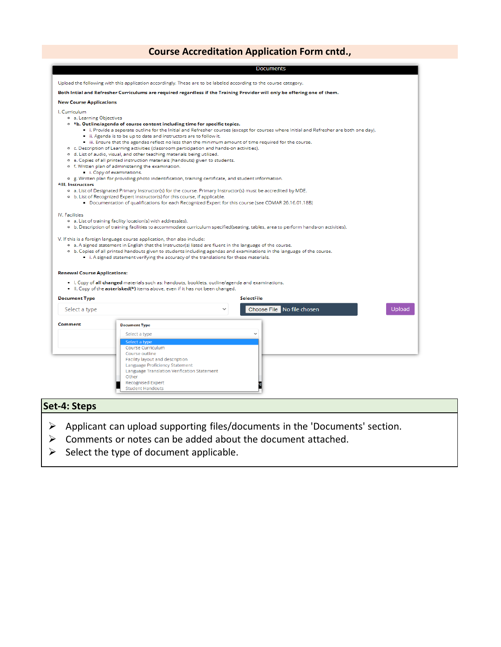# **Course Accreditation Application Form cntd.,**

|                                                                        | Upload the following with this application accordingly. These are to be labeled according to the course category.                                                                                                                                                                                                                                                                                                               |
|------------------------------------------------------------------------|---------------------------------------------------------------------------------------------------------------------------------------------------------------------------------------------------------------------------------------------------------------------------------------------------------------------------------------------------------------------------------------------------------------------------------|
|                                                                        | Both Intial and Refresher Curriculums are required regardless if the Training Provider will only be offering one of them.                                                                                                                                                                                                                                                                                                       |
| <b>New Course Applications</b>                                         |                                                                                                                                                                                                                                                                                                                                                                                                                                 |
| I. Curriculum                                                          |                                                                                                                                                                                                                                                                                                                                                                                                                                 |
| o a. Learning Objectives                                               |                                                                                                                                                                                                                                                                                                                                                                                                                                 |
|                                                                        | <sup>o</sup> *b. Outline/agenda of course content including time for specific topics.                                                                                                                                                                                                                                                                                                                                           |
|                                                                        | i. Provide a seperate outline for the Initial and Refresher courses (except for courses where Initial and Refresher are both one day).                                                                                                                                                                                                                                                                                          |
|                                                                        | ii. Agenda is to be up to date and instructors are to follow it.                                                                                                                                                                                                                                                                                                                                                                |
|                                                                        | iii. Ensure that the agendas reflect no less than the minimum amount of time required for the course.                                                                                                                                                                                                                                                                                                                           |
|                                                                        | o c. Description of Learning activities (classroom participation and hands-on activities).                                                                                                                                                                                                                                                                                                                                      |
|                                                                        | o d. List of audio, visual, and other teaching materials being utilized.                                                                                                                                                                                                                                                                                                                                                        |
|                                                                        | o e. Copies of all printed instruction materials (handouts) given to students.                                                                                                                                                                                                                                                                                                                                                  |
|                                                                        | o f. Written plan of administering the examination.                                                                                                                                                                                                                                                                                                                                                                             |
|                                                                        | i. Copy of examinations.                                                                                                                                                                                                                                                                                                                                                                                                        |
| *III. Instructors                                                      | o g. Written plan for providing photo indentification, training certificate, and student information.                                                                                                                                                                                                                                                                                                                           |
|                                                                        | o a. List of Designated Primary Instructor(s) for the course. Primary Instructor(s) must be accredited by MDE.                                                                                                                                                                                                                                                                                                                  |
|                                                                        | <sup>o</sup> b. List of Recognized Expert Instructor(s) for this course, if applicable.                                                                                                                                                                                                                                                                                                                                         |
|                                                                        | Documentation of qualifications for each Recognized Expert for this course (see COMAR 26.16.01.18B)                                                                                                                                                                                                                                                                                                                             |
|                                                                        |                                                                                                                                                                                                                                                                                                                                                                                                                                 |
| IV. Facilities                                                         |                                                                                                                                                                                                                                                                                                                                                                                                                                 |
|                                                                        | o a. List of training facility location(s) with address(es).                                                                                                                                                                                                                                                                                                                                                                    |
|                                                                        | <sup>o</sup> b. Description of training facilities to accommodate curriculum specified(seating, tables, area to perform hands-on activities).                                                                                                                                                                                                                                                                                   |
|                                                                        | V. If this is a foreign language course application, then also include:<br><sup>o</sup> a. A signed statement in English that the Instructor(s) listed are fluent in the language of the course.<br><sup>o</sup> b. Copies of all printed handouts given to students including agendas and examinations in the language of the course.<br>i. A signed statement verifying the accuracy of the translations for these materials. |
|                                                                        | . I. Copy of all changed materials such as: handouts, booklets, outline/agenda and examinations.                                                                                                                                                                                                                                                                                                                                |
|                                                                        | • II. Copy of the <b>asterisked</b> (*) items above, even if it has not been changed.<br><b>SelectFile</b>                                                                                                                                                                                                                                                                                                                      |
|                                                                        |                                                                                                                                                                                                                                                                                                                                                                                                                                 |
| Select a type                                                          | Choose File No file chosen<br>Upload                                                                                                                                                                                                                                                                                                                                                                                            |
|                                                                        | <b>Document Type</b>                                                                                                                                                                                                                                                                                                                                                                                                            |
|                                                                        | Select a type                                                                                                                                                                                                                                                                                                                                                                                                                   |
| <b>Renewal Course Applications:</b><br><b>Document Type</b><br>Comment | Select a type                                                                                                                                                                                                                                                                                                                                                                                                                   |
|                                                                        | Course Curriculum                                                                                                                                                                                                                                                                                                                                                                                                               |
|                                                                        | Course outline                                                                                                                                                                                                                                                                                                                                                                                                                  |
|                                                                        | Facility layout and description                                                                                                                                                                                                                                                                                                                                                                                                 |
|                                                                        | Language Proficiency Statement                                                                                                                                                                                                                                                                                                                                                                                                  |
|                                                                        | Language Translation Verification Statement                                                                                                                                                                                                                                                                                                                                                                                     |
|                                                                        | Other                                                                                                                                                                                                                                                                                                                                                                                                                           |
|                                                                        | <b>Recognised Expert</b><br><b>Student Handouts</b>                                                                                                                                                                                                                                                                                                                                                                             |

- Applicant can upload supporting files/documents in the 'Documents' section.
- $\triangleright$  Comments or notes can be added about the document attached.
- $\triangleright$  Select the type of document applicable.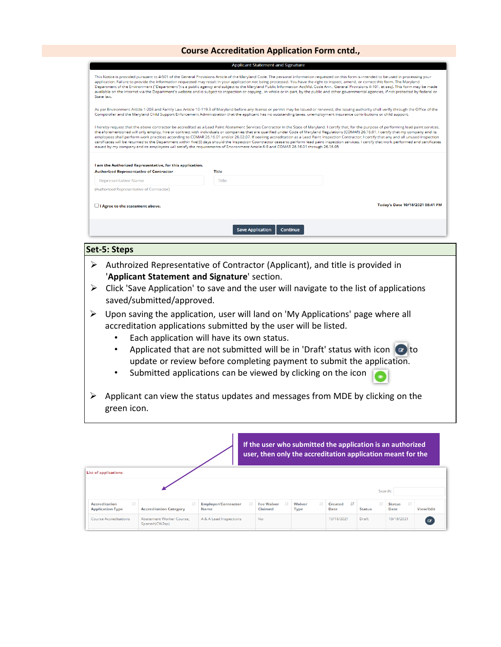## **Course Accreditation Application Form cntd.,**

| State law.                                                                                                  | This Notice is provided pursuant to 4-501 of the General Provisions Article of the Maryland Code. The personal information requested on this form is intended to be used in processing your<br>application. Failure to provide the information requested may result in your application not being processed. You have the right to inspect, amend, or correct this form. The Maryland | Department of the Environment ("Department") is a public agency and subject to the Maryland Public Information Act(Md. Code Ann., General Provisions 4-101. et seq). This form may be made<br>available on the internet via the Department's website and is subject to inspection or copying, in whole or in part, by the public and other governmental agencies, if not protected by federal or                                                                                                                                                                                                                                                                                                                                                                                                                  |
|-------------------------------------------------------------------------------------------------------------|---------------------------------------------------------------------------------------------------------------------------------------------------------------------------------------------------------------------------------------------------------------------------------------------------------------------------------------------------------------------------------------|-------------------------------------------------------------------------------------------------------------------------------------------------------------------------------------------------------------------------------------------------------------------------------------------------------------------------------------------------------------------------------------------------------------------------------------------------------------------------------------------------------------------------------------------------------------------------------------------------------------------------------------------------------------------------------------------------------------------------------------------------------------------------------------------------------------------|
|                                                                                                             | Comptroller and the Maryland Child Support Enforcement Administration that the applicant has no outstanding taxes, unemployment insurance contributions or child support.                                                                                                                                                                                                             | As per Environment Article 1-203 and Family Law Article 10-119.3 of Maryland before any license or permit may be issued or renewed, the issuing authority shall verify through the Office of the                                                                                                                                                                                                                                                                                                                                                                                                                                                                                                                                                                                                                  |
|                                                                                                             | issued by my company and its employees will satisfy the requirements of Environment Article 6-8 and COMAR 26.16.01 through 26.16.05                                                                                                                                                                                                                                                   | I hereby request that the above contractor be accredited as a Lead Paint Abatement Services Contractor in the State of Maryland. I certify that, for the purpose of performing lead paint services,<br>the aforementioned will only employ, hire or contract with individuals or companies that are qualified under Code of Maryland Regulations (COMAR) 26.16.01. I certify that my company and its<br>employees shall perform work practices according to COMAR 26.16.01 and/or 26.02.07. If seeking accreditation as a Lead Paint Inspection Contractor; I certify that any and all unused inspection<br>certificates will be returned to the Department within five(5) days should the Inspection Coontractor cease to perform lead paint inspection services. I certify that work performed and certificates |
|                                                                                                             |                                                                                                                                                                                                                                                                                                                                                                                       |                                                                                                                                                                                                                                                                                                                                                                                                                                                                                                                                                                                                                                                                                                                                                                                                                   |
| I am the Authorized Representative, for this application.<br><b>Authorized Representative of Contractor</b> | <b>Title</b>                                                                                                                                                                                                                                                                                                                                                                          |                                                                                                                                                                                                                                                                                                                                                                                                                                                                                                                                                                                                                                                                                                                                                                                                                   |
| Representative Name                                                                                         | Title                                                                                                                                                                                                                                                                                                                                                                                 |                                                                                                                                                                                                                                                                                                                                                                                                                                                                                                                                                                                                                                                                                                                                                                                                                   |
| (Authorized Representative of Contractor)                                                                   |                                                                                                                                                                                                                                                                                                                                                                                       |                                                                                                                                                                                                                                                                                                                                                                                                                                                                                                                                                                                                                                                                                                                                                                                                                   |
| I Agree to the statement above.                                                                             |                                                                                                                                                                                                                                                                                                                                                                                       | Today's Date 10/18/2021 08:41 PM                                                                                                                                                                                                                                                                                                                                                                                                                                                                                                                                                                                                                                                                                                                                                                                  |

### **Set-5: Steps**

- Authroized Representative of Contractor (Applicant), and title is provided in '**Applicant Statement and Signature**' section.
- $\triangleright$  Click 'Save Application' to save and the user will navigate to the list of applications saved/submitted/approved.
- $\triangleright$  Upon saving the application, user will land on 'My Applications' page where all accreditation applications submitted by the user will be listed.
	- Each application will have its own status.
	- Applicated that are not submitted will be in 'Draft' status with icon  $\bullet$  to update or review before completing payment to submit the application.
	- Submitted applications can be viewed by clicking on the icon
- $\triangleright$  Applicant can view the status updates and messages from MDE by clicking on the green icon.

|                                                        |                                            |                                    | If the user who submitted the application is an authorized<br>user, then only the accreditation application meant for the |                             |                                 |               |                             |           |
|--------------------------------------------------------|--------------------------------------------|------------------------------------|---------------------------------------------------------------------------------------------------------------------------|-----------------------------|---------------------------------|---------------|-----------------------------|-----------|
| <b>List of applications</b>                            |                                            |                                    |                                                                                                                           |                             |                                 | Search:       |                             |           |
| It.<br><b>Accreditation</b><br><b>Application Type</b> | <b>Accreditation Category</b>              | <b>Employer/Contractor</b><br>Name | <b>Fee Waiver</b><br>Claimed                                                                                              | 1î<br>Waiver<br><b>Type</b> | $\mathbb{F}$<br>Created<br>Date | <b>Status</b> | 11<br><b>Status</b><br>Date | View/Edit |
| <b>Course Accreditations</b>                           | Abatement Worker Course.<br>Spanish(CW2sp) | A & A Lead Inspections             | <b>No</b>                                                                                                                 |                             | 10/18/2021                      | Draft         | 10/18/2021                  | ( @       |